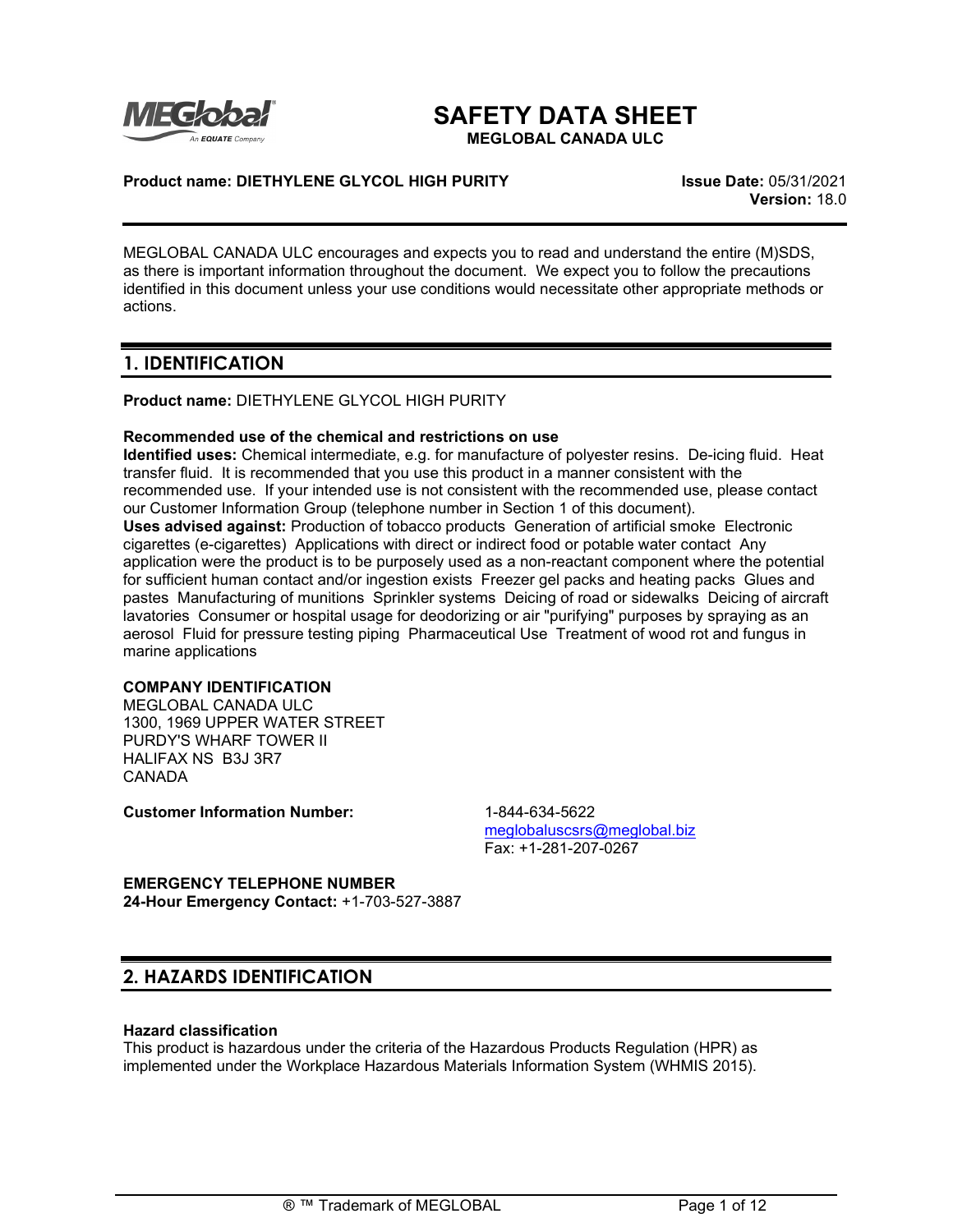

# **SAFETY DATA SHEET**

**MEGLOBAL CANADA ULC**

### **Product name: DIETHYLENE GLYCOL HIGH PURITY Issue Date:** 05/31/2021

**Version:** 18.0

MEGLOBAL CANADA ULC encourages and expects you to read and understand the entire (M)SDS, as there is important information throughout the document. We expect you to follow the precautions identified in this document unless your use conditions would necessitate other appropriate methods or actions.

# **1. IDENTIFICATION**

**Product name:** DIETHYLENE GLYCOL HIGH PURITY

### **Recommended use of the chemical and restrictions on use**

**Identified uses:** Chemical intermediate, e.g. for manufacture of polyester resins. De-icing fluid. Heat transfer fluid. It is recommended that you use this product in a manner consistent with the recommended use. If your intended use is not consistent with the recommended use, please contact our Customer Information Group (telephone number in Section 1 of this document). **Uses advised against:** Production of tobacco products Generation of artificial smoke Electronic cigarettes (e-cigarettes) Applications with direct or indirect food or potable water contact Any application were the product is to be purposely used as a non-reactant component where the potential for sufficient human contact and/or ingestion exists Freezer gel packs and heating packs Glues and pastes Manufacturing of munitions Sprinkler systems Deicing of road or sidewalks Deicing of aircraft lavatories Consumer or hospital usage for deodorizing or air "purifying" purposes by spraying as an aerosol Fluid for pressure testing piping Pharmaceutical Use Treatment of wood rot and fungus in marine applications

# **COMPANY IDENTIFICATION**

MEGLOBAL CANADA ULC 1300, 1969 UPPER WATER STREET PURDY'S WHARF TOWER II HALIFAX NS B3J 3R7 CANADA

**Customer Information Number:** 1-844-634-5622

[meglobaluscsrs@meglobal.biz](mailto:meglobaluscsrs@meglobal.biz) Fax: +1-281-207-0267

**EMERGENCY TELEPHONE NUMBER 24-Hour Emergency Contact:** +1-703-527-3887

# **2. HAZARDS IDENTIFICATION**

### **Hazard classification**

This product is hazardous under the criteria of the Hazardous Products Regulation (HPR) as implemented under the Workplace Hazardous Materials Information System (WHMIS 2015).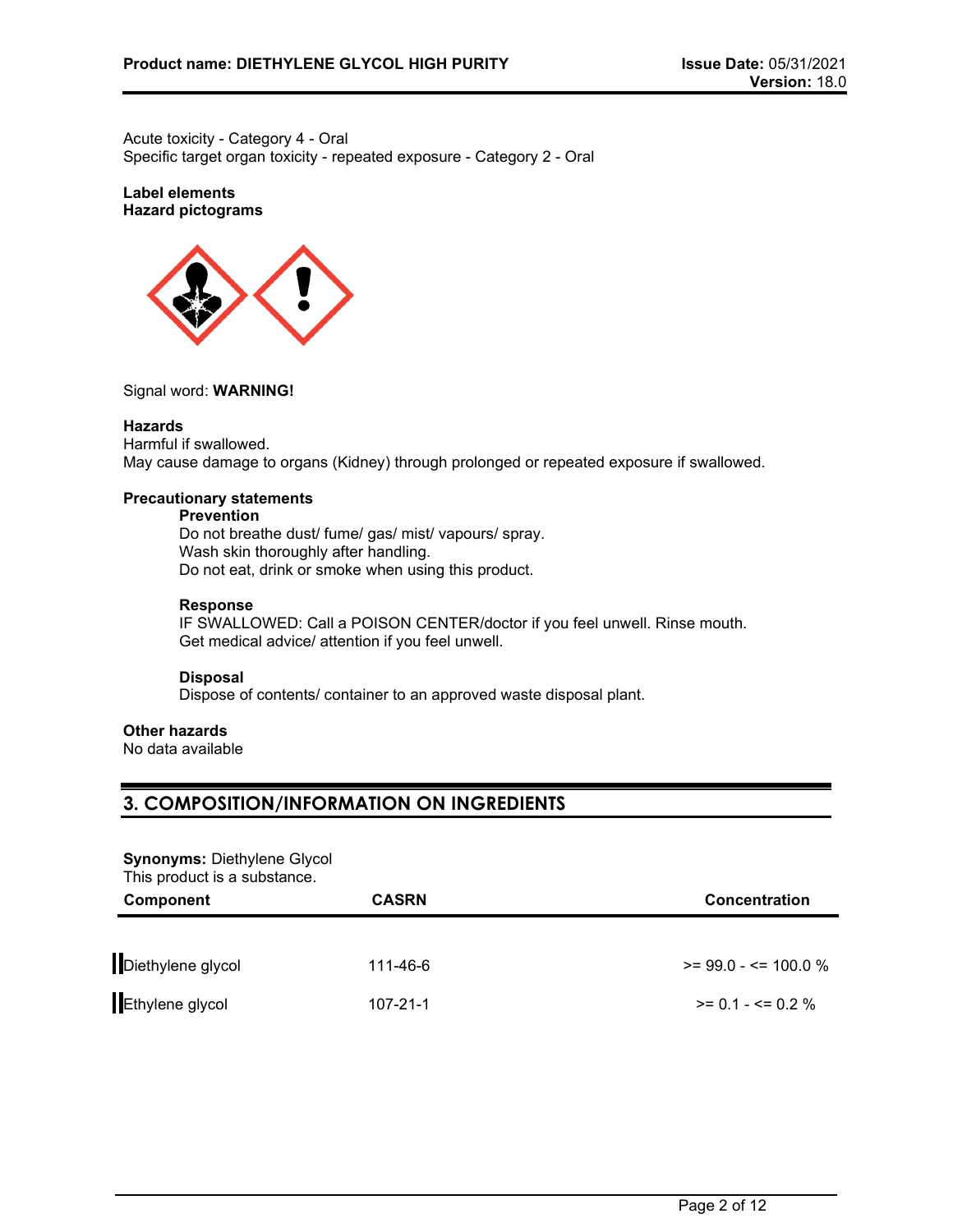Acute toxicity - Category 4 - Oral Specific target organ toxicity - repeated exposure - Category 2 - Oral

### **Label elements Hazard pictograms**



### Signal word: **WARNING!**

#### **Hazards**

Harmful if swallowed. May cause damage to organs (Kidney) through prolonged or repeated exposure if swallowed.

### **Precautionary statements**

### **Prevention**

Do not breathe dust/ fume/ gas/ mist/ vapours/ spray. Wash skin thoroughly after handling. Do not eat, drink or smoke when using this product.

#### **Response**

IF SWALLOWED: Call a POISON CENTER/doctor if you feel unwell. Rinse mouth. Get medical advice/ attention if you feel unwell.

### **Disposal**

Dispose of contents/ container to an approved waste disposal plant.

### **Other hazards**

No data available

# **3. COMPOSITION/INFORMATION ON INGREDIENTS**

#### **Synonyms:** Diethylene Glycol This product is a substance.

| THIS PIUGULED A SUDSTAILLE.<br><b>Component</b> | <b>CASRN</b>   | <b>Concentration</b>    |  |
|-------------------------------------------------|----------------|-------------------------|--|
|                                                 |                |                         |  |
| Diethylene glycol                               | 111-46-6       | $>= 99.0 - 5 = 100.0 %$ |  |
| Ethylene glycol                                 | $107 - 21 - 1$ | $>= 0.1 - \le 0.2 \%$   |  |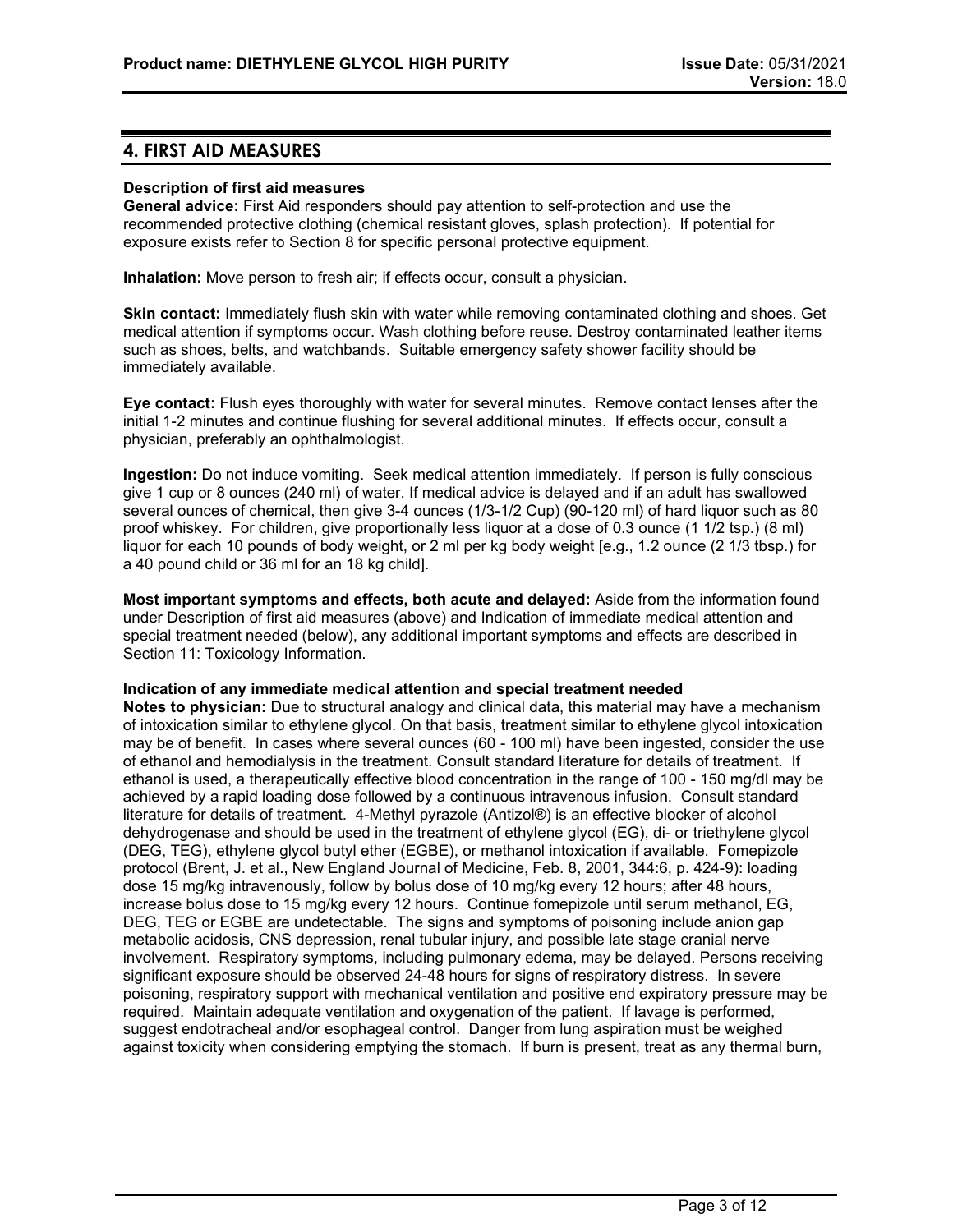# **4. FIRST AID MEASURES**

#### **Description of first aid measures**

**General advice:** First Aid responders should pay attention to self-protection and use the recommended protective clothing (chemical resistant gloves, splash protection). If potential for exposure exists refer to Section 8 for specific personal protective equipment.

**Inhalation:** Move person to fresh air; if effects occur, consult a physician.

**Skin contact:** Immediately flush skin with water while removing contaminated clothing and shoes. Get medical attention if symptoms occur. Wash clothing before reuse. Destroy contaminated leather items such as shoes, belts, and watchbands. Suitable emergency safety shower facility should be immediately available.

**Eye contact:** Flush eyes thoroughly with water for several minutes. Remove contact lenses after the initial 1-2 minutes and continue flushing for several additional minutes. If effects occur, consult a physician, preferably an ophthalmologist.

**Ingestion:** Do not induce vomiting. Seek medical attention immediately. If person is fully conscious give 1 cup or 8 ounces (240 ml) of water. If medical advice is delayed and if an adult has swallowed several ounces of chemical, then give 3-4 ounces (1/3-1/2 Cup) (90-120 ml) of hard liquor such as 80 proof whiskey. For children, give proportionally less liquor at a dose of 0.3 ounce (1 1/2 tsp.) (8 ml) liquor for each 10 pounds of body weight, or 2 ml per kg body weight [e.g., 1.2 ounce (2 1/3 tbsp.) for a 40 pound child or 36 ml for an 18 kg child].

**Most important symptoms and effects, both acute and delayed:** Aside from the information found under Description of first aid measures (above) and Indication of immediate medical attention and special treatment needed (below), any additional important symptoms and effects are described in Section 11: Toxicology Information.

#### **Indication of any immediate medical attention and special treatment needed**

**Notes to physician:** Due to structural analogy and clinical data, this material may have a mechanism of intoxication similar to ethylene glycol. On that basis, treatment similar to ethylene glycol intoxication may be of benefit. In cases where several ounces (60 - 100 ml) have been ingested, consider the use of ethanol and hemodialysis in the treatment. Consult standard literature for details of treatment. If ethanol is used, a therapeutically effective blood concentration in the range of 100 - 150 mg/dl may be achieved by a rapid loading dose followed by a continuous intravenous infusion. Consult standard literature for details of treatment. 4-Methyl pyrazole (Antizol®) is an effective blocker of alcohol dehydrogenase and should be used in the treatment of ethylene glycol (EG), di- or triethylene glycol (DEG, TEG), ethylene glycol butyl ether (EGBE), or methanol intoxication if available. Fomepizole protocol (Brent, J. et al., New England Journal of Medicine, Feb. 8, 2001, 344:6, p. 424-9): loading dose 15 mg/kg intravenously, follow by bolus dose of 10 mg/kg every 12 hours; after 48 hours, increase bolus dose to 15 mg/kg every 12 hours. Continue fomepizole until serum methanol, EG, DEG, TEG or EGBE are undetectable. The signs and symptoms of poisoning include anion gap metabolic acidosis, CNS depression, renal tubular injury, and possible late stage cranial nerve involvement. Respiratory symptoms, including pulmonary edema, may be delayed. Persons receiving significant exposure should be observed 24-48 hours for signs of respiratory distress. In severe poisoning, respiratory support with mechanical ventilation and positive end expiratory pressure may be required. Maintain adequate ventilation and oxygenation of the patient. If lavage is performed, suggest endotracheal and/or esophageal control. Danger from lung aspiration must be weighed against toxicity when considering emptying the stomach. If burn is present, treat as any thermal burn,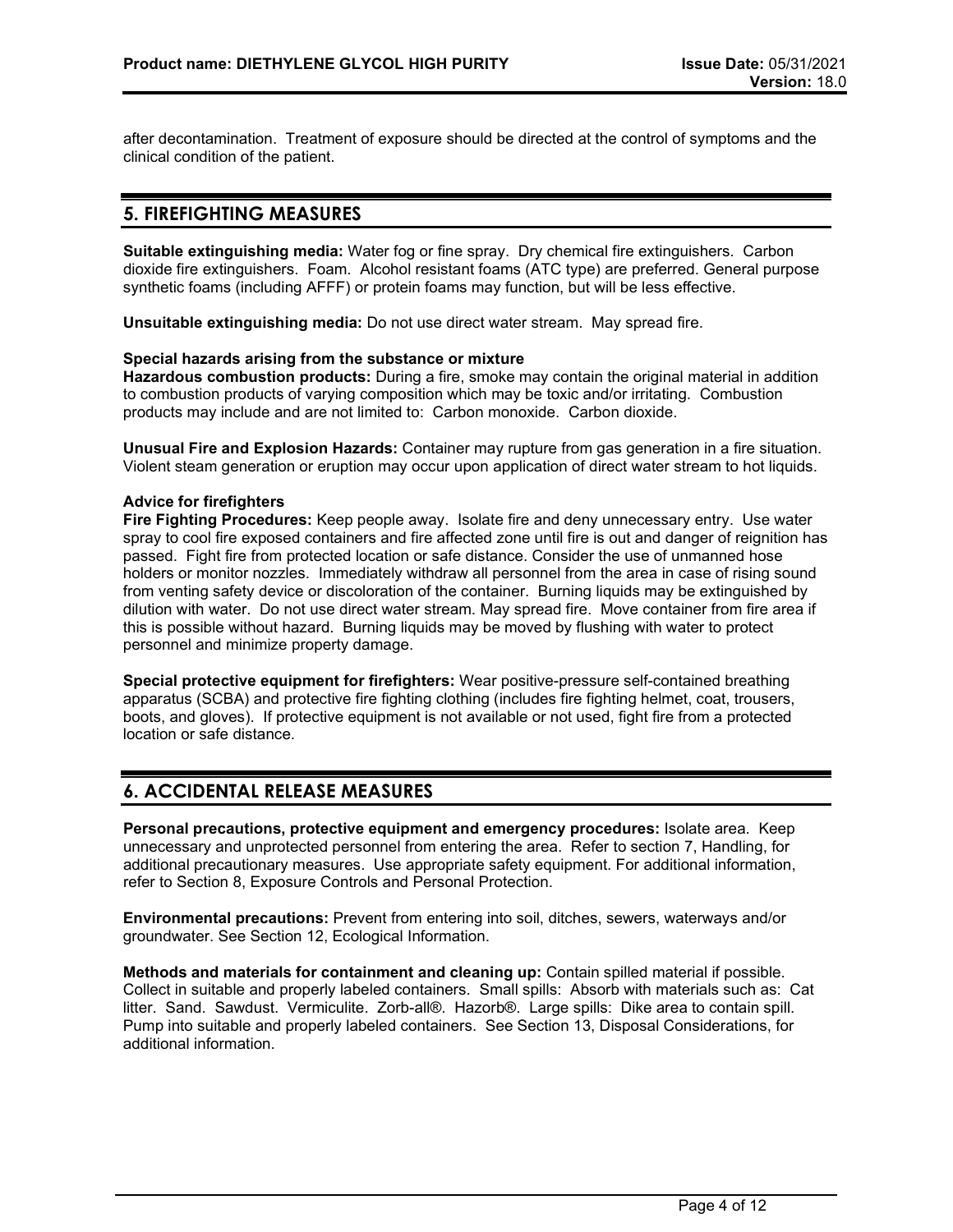after decontamination. Treatment of exposure should be directed at the control of symptoms and the clinical condition of the patient.

# **5. FIREFIGHTING MEASURES**

**Suitable extinguishing media:** Water fog or fine spray. Dry chemical fire extinguishers. Carbon dioxide fire extinguishers. Foam. Alcohol resistant foams (ATC type) are preferred. General purpose synthetic foams (including AFFF) or protein foams may function, but will be less effective.

**Unsuitable extinguishing media:** Do not use direct water stream. May spread fire.

#### **Special hazards arising from the substance or mixture**

**Hazardous combustion products:** During a fire, smoke may contain the original material in addition to combustion products of varying composition which may be toxic and/or irritating. Combustion products may include and are not limited to: Carbon monoxide. Carbon dioxide.

**Unusual Fire and Explosion Hazards:** Container may rupture from gas generation in a fire situation. Violent steam generation or eruption may occur upon application of direct water stream to hot liquids.

#### **Advice for firefighters**

**Fire Fighting Procedures:** Keep people away. Isolate fire and deny unnecessary entry. Use water spray to cool fire exposed containers and fire affected zone until fire is out and danger of reignition has passed. Fight fire from protected location or safe distance. Consider the use of unmanned hose holders or monitor nozzles. Immediately withdraw all personnel from the area in case of rising sound from venting safety device or discoloration of the container. Burning liquids may be extinguished by dilution with water. Do not use direct water stream. May spread fire. Move container from fire area if this is possible without hazard. Burning liquids may be moved by flushing with water to protect personnel and minimize property damage.

**Special protective equipment for firefighters:** Wear positive-pressure self-contained breathing apparatus (SCBA) and protective fire fighting clothing (includes fire fighting helmet, coat, trousers, boots, and gloves). If protective equipment is not available or not used, fight fire from a protected location or safe distance.

# **6. ACCIDENTAL RELEASE MEASURES**

**Personal precautions, protective equipment and emergency procedures:** Isolate area. Keep unnecessary and unprotected personnel from entering the area. Refer to section 7, Handling, for additional precautionary measures. Use appropriate safety equipment. For additional information, refer to Section 8, Exposure Controls and Personal Protection.

**Environmental precautions:** Prevent from entering into soil, ditches, sewers, waterways and/or groundwater. See Section 12, Ecological Information.

**Methods and materials for containment and cleaning up:** Contain spilled material if possible. Collect in suitable and properly labeled containers. Small spills: Absorb with materials such as: Cat litter. Sand. Sawdust. Vermiculite. Zorb-all®. Hazorb®. Large spills: Dike area to contain spill. Pump into suitable and properly labeled containers. See Section 13, Disposal Considerations, for additional information.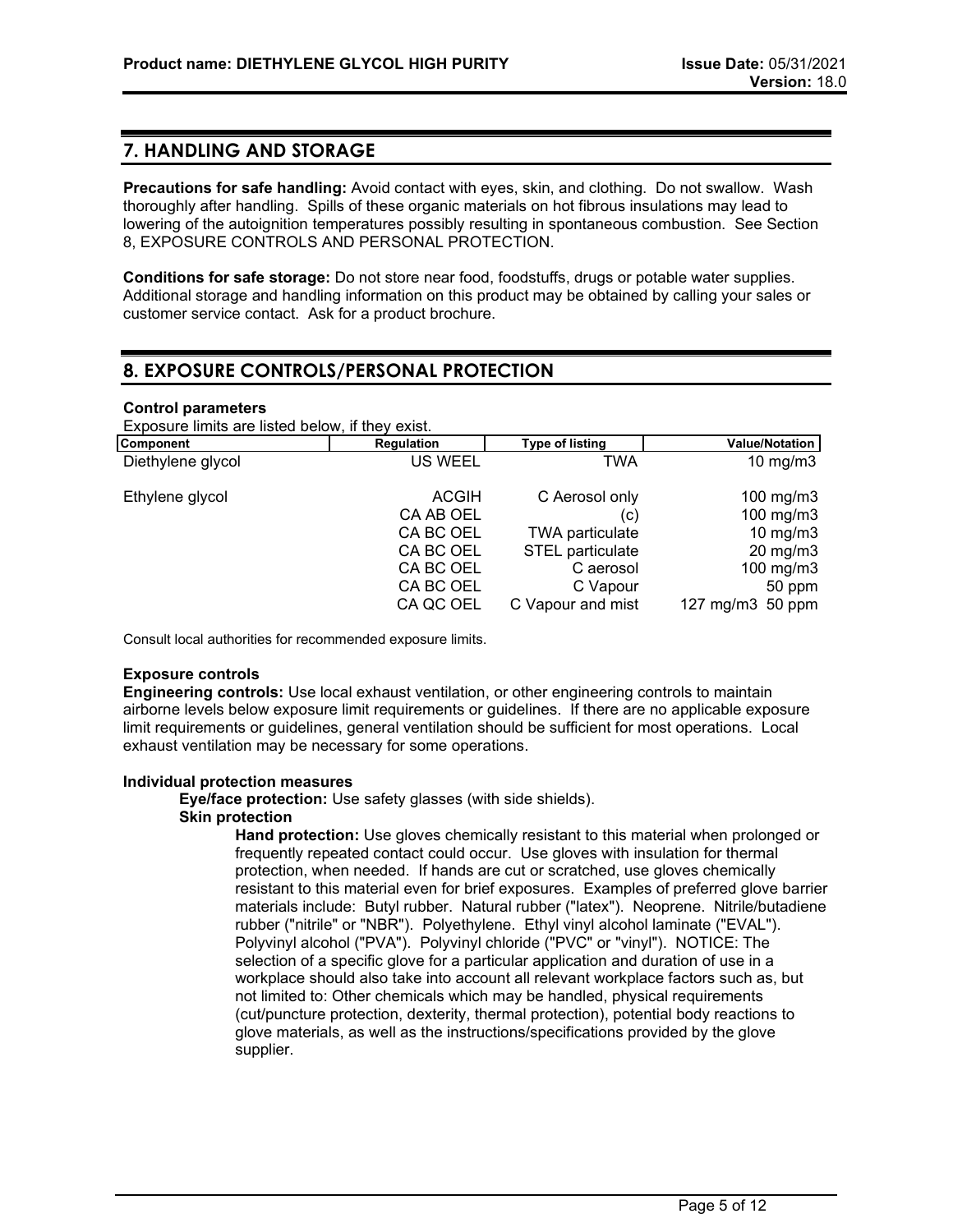### **7. HANDLING AND STORAGE**

**Precautions for safe handling:** Avoid contact with eyes, skin, and clothing. Do not swallow. Wash thoroughly after handling. Spills of these organic materials on hot fibrous insulations may lead to lowering of the autoignition temperatures possibly resulting in spontaneous combustion. See Section 8, EXPOSURE CONTROLS AND PERSONAL PROTECTION.

**Conditions for safe storage:** Do not store near food, foodstuffs, drugs or potable water supplies. Additional storage and handling information on this product may be obtained by calling your sales or customer service contact. Ask for a product brochure.

# **8. EXPOSURE CONTROLS/PERSONAL PROTECTION**

#### **Control parameters**

Exposure limits are listed below, if they exist.

| Component         | Regulation     | <b>Type of listing</b>  | Value/Notation    |
|-------------------|----------------|-------------------------|-------------------|
| Diethylene glycol | <b>US WEEL</b> | TWA                     | 10 mg/m $3$       |
| Ethylene glycol   | <b>ACGIH</b>   | C Aerosol only          | 100 mg/m $3$      |
|                   | CA AB OEL      | (C)                     | 100 mg/m3         |
|                   | CA BC OEL      | <b>TWA particulate</b>  | $10$ mg/m $3$     |
|                   | CA BC OEL      | <b>STEL</b> particulate | $20 \text{ mg/m}$ |
|                   | CA BC OEL      | C aerosol               | 100 mg/m $3$      |
|                   | CA BC OEL      | C Vapour                | 50 ppm            |
|                   | CA QC OEL      | C Vapour and mist       | 127 mg/m3 50 ppm  |
|                   |                |                         |                   |

Consult local authorities for recommended exposure limits.

#### **Exposure controls**

**Engineering controls:** Use local exhaust ventilation, or other engineering controls to maintain airborne levels below exposure limit requirements or guidelines. If there are no applicable exposure limit requirements or guidelines, general ventilation should be sufficient for most operations. Local exhaust ventilation may be necessary for some operations.

#### **Individual protection measures**

**Eye/face protection:** Use safety glasses (with side shields).

#### **Skin protection**

**Hand protection:** Use gloves chemically resistant to this material when prolonged or frequently repeated contact could occur. Use gloves with insulation for thermal protection, when needed. If hands are cut or scratched, use gloves chemically resistant to this material even for brief exposures. Examples of preferred glove barrier materials include: Butyl rubber. Natural rubber ("latex"). Neoprene. Nitrile/butadiene rubber ("nitrile" or "NBR"). Polyethylene. Ethyl vinyl alcohol laminate ("EVAL"). Polyvinyl alcohol ("PVA"). Polyvinyl chloride ("PVC" or "vinyl"). NOTICE: The selection of a specific glove for a particular application and duration of use in a workplace should also take into account all relevant workplace factors such as, but not limited to: Other chemicals which may be handled, physical requirements (cut/puncture protection, dexterity, thermal protection), potential body reactions to glove materials, as well as the instructions/specifications provided by the glove supplier.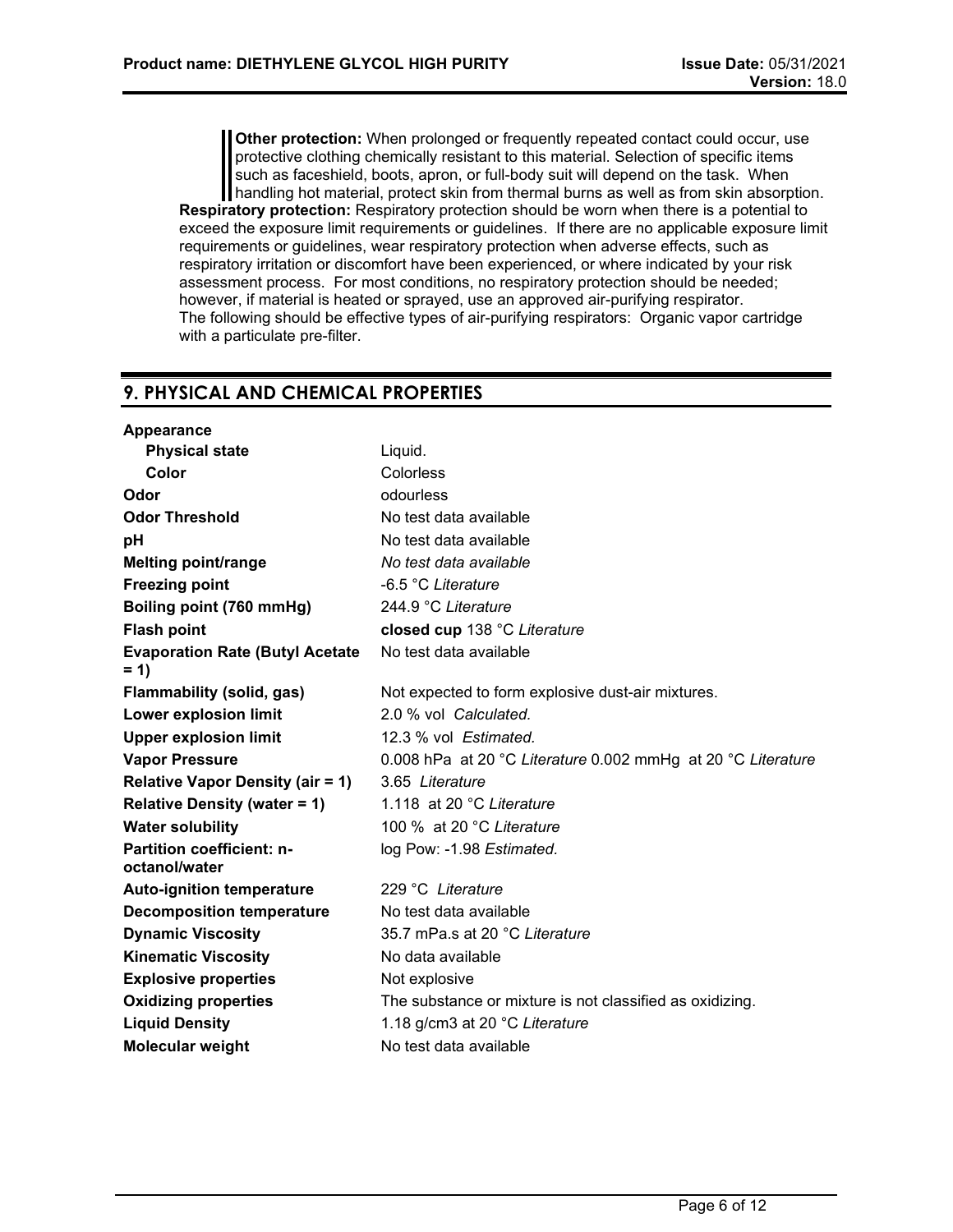**Other protection:** When prolonged or frequently repeated contact could occur, use protective clothing chemically resistant to this material. Selection of specific items such as faceshield, boots, apron, or full-body suit will depend on the task. When handling hot material, protect skin from thermal burns as well as from skin absorption. **Respiratory protection:** Respiratory protection should be worn when there is a potential to exceed the exposure limit requirements or guidelines. If there are no applicable exposure limit requirements or guidelines, wear respiratory protection when adverse effects, such as respiratory irritation or discomfort have been experienced, or where indicated by your risk assessment process. For most conditions, no respiratory protection should be needed; however, if material is heated or sprayed, use an approved air-purifying respirator. The following should be effective types of air-purifying respirators: Organic vapor cartridge with a particulate pre-filter.

# **9. PHYSICAL AND CHEMICAL PROPERTIES**

| Appearance                                        |                                                              |
|---------------------------------------------------|--------------------------------------------------------------|
| <b>Physical state</b>                             | Liquid.                                                      |
| Color                                             | Colorless                                                    |
| Odor                                              | odourless                                                    |
| <b>Odor Threshold</b>                             | No test data available                                       |
| рH                                                | No test data available                                       |
| <b>Melting point/range</b>                        | No test data available                                       |
| <b>Freezing point</b>                             | -6.5 °C Literature                                           |
| Boiling point (760 mmHg)                          | 244.9 °C Literature                                          |
| <b>Flash point</b>                                | closed cup 138 °C Literature                                 |
| <b>Evaporation Rate (Butyl Acetate</b><br>$= 1$   | No test data available                                       |
| <b>Flammability (solid, gas)</b>                  | Not expected to form explosive dust-air mixtures.            |
| Lower explosion limit                             | 2.0 % vol Calculated.                                        |
| <b>Upper explosion limit</b>                      | 12.3 % vol Estimated.                                        |
| <b>Vapor Pressure</b>                             | 0.008 hPa at 20 °C Literature 0.002 mmHg at 20 °C Literature |
| <b>Relative Vapor Density (air = 1)</b>           | 3.65 Literature                                              |
| <b>Relative Density (water = 1)</b>               | 1.118 at 20 °C Literature                                    |
| <b>Water solubility</b>                           | 100 % at 20 °C Literature                                    |
| <b>Partition coefficient: n-</b><br>octanol/water | log Pow: -1.98 Estimated.                                    |
| <b>Auto-ignition temperature</b>                  | 229 °C Literature                                            |
| <b>Decomposition temperature</b>                  | No test data available                                       |
| <b>Dynamic Viscosity</b>                          | 35.7 mPa.s at 20 °C Literature                               |
| <b>Kinematic Viscosity</b>                        | No data available                                            |
| <b>Explosive properties</b>                       | Not explosive                                                |
| <b>Oxidizing properties</b>                       | The substance or mixture is not classified as oxidizing.     |
| <b>Liquid Density</b>                             | 1.18 g/cm3 at 20 °C Literature                               |
| <b>Molecular weight</b>                           | No test data available                                       |
|                                                   |                                                              |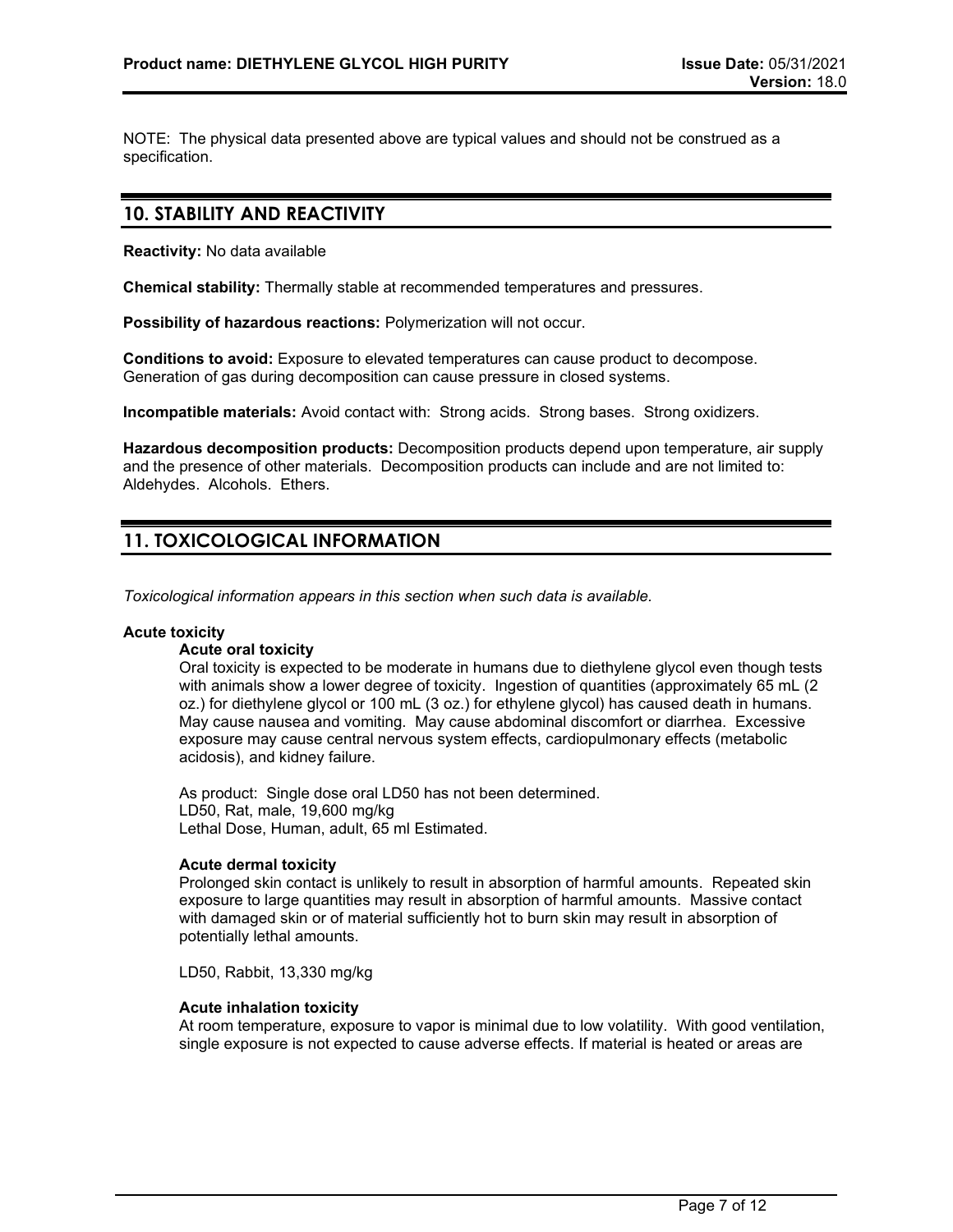NOTE: The physical data presented above are typical values and should not be construed as a specification.

### **10. STABILITY AND REACTIVITY**

**Reactivity:** No data available

**Chemical stability:** Thermally stable at recommended temperatures and pressures.

**Possibility of hazardous reactions:** Polymerization will not occur.

**Conditions to avoid:** Exposure to elevated temperatures can cause product to decompose. Generation of gas during decomposition can cause pressure in closed systems.

**Incompatible materials:** Avoid contact with: Strong acids. Strong bases. Strong oxidizers.

**Hazardous decomposition products:** Decomposition products depend upon temperature, air supply and the presence of other materials. Decomposition products can include and are not limited to: Aldehydes. Alcohols. Ethers.

# **11. TOXICOLOGICAL INFORMATION**

*Toxicological information appears in this section when such data is available.*

#### **Acute toxicity**

### **Acute oral toxicity**

Oral toxicity is expected to be moderate in humans due to diethylene glycol even though tests with animals show a lower degree of toxicity. Ingestion of quantities (approximately 65 mL (2 oz.) for diethylene glycol or 100 mL (3 oz.) for ethylene glycol) has caused death in humans. May cause nausea and vomiting. May cause abdominal discomfort or diarrhea. Excessive exposure may cause central nervous system effects, cardiopulmonary effects (metabolic acidosis), and kidney failure.

As product: Single dose oral LD50 has not been determined. LD50, Rat, male, 19,600 mg/kg Lethal Dose, Human, adult, 65 ml Estimated.

### **Acute dermal toxicity**

Prolonged skin contact is unlikely to result in absorption of harmful amounts. Repeated skin exposure to large quantities may result in absorption of harmful amounts. Massive contact with damaged skin or of material sufficiently hot to burn skin may result in absorption of potentially lethal amounts.

LD50, Rabbit, 13,330 mg/kg

#### **Acute inhalation toxicity**

At room temperature, exposure to vapor is minimal due to low volatility. With good ventilation, single exposure is not expected to cause adverse effects. If material is heated or areas are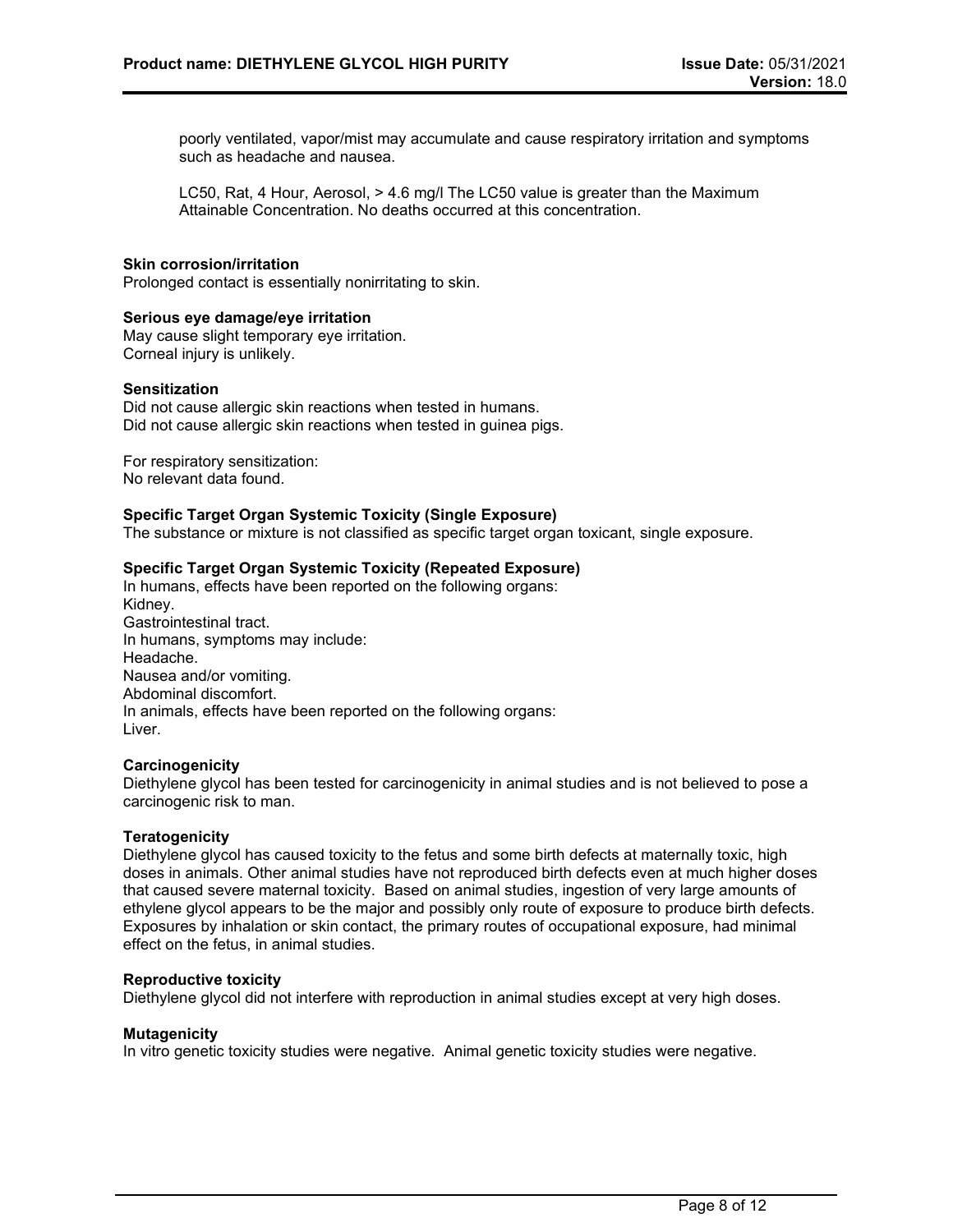poorly ventilated, vapor/mist may accumulate and cause respiratory irritation and symptoms such as headache and nausea.

LC50, Rat, 4 Hour, Aerosol, > 4.6 mg/l The LC50 value is greater than the Maximum Attainable Concentration. No deaths occurred at this concentration.

#### **Skin corrosion/irritation**

Prolonged contact is essentially nonirritating to skin.

#### **Serious eye damage/eye irritation**

May cause slight temporary eye irritation. Corneal injury is unlikely.

#### **Sensitization**

Did not cause allergic skin reactions when tested in humans. Did not cause allergic skin reactions when tested in guinea pigs.

For respiratory sensitization: No relevant data found.

#### **Specific Target Organ Systemic Toxicity (Single Exposure)**

The substance or mixture is not classified as specific target organ toxicant, single exposure.

#### **Specific Target Organ Systemic Toxicity (Repeated Exposure)**

In humans, effects have been reported on the following organs: Kidney. Gastrointestinal tract. In humans, symptoms may include: Headache. Nausea and/or vomiting. Abdominal discomfort. In animals, effects have been reported on the following organs: Liver.

#### **Carcinogenicity**

Diethylene glycol has been tested for carcinogenicity in animal studies and is not believed to pose a carcinogenic risk to man.

#### **Teratogenicity**

Diethylene glycol has caused toxicity to the fetus and some birth defects at maternally toxic, high doses in animals. Other animal studies have not reproduced birth defects even at much higher doses that caused severe maternal toxicity. Based on animal studies, ingestion of very large amounts of ethylene glycol appears to be the major and possibly only route of exposure to produce birth defects. Exposures by inhalation or skin contact, the primary routes of occupational exposure, had minimal effect on the fetus, in animal studies.

#### **Reproductive toxicity**

Diethylene glycol did not interfere with reproduction in animal studies except at very high doses.

#### **Mutagenicity**

In vitro genetic toxicity studies were negative. Animal genetic toxicity studies were negative.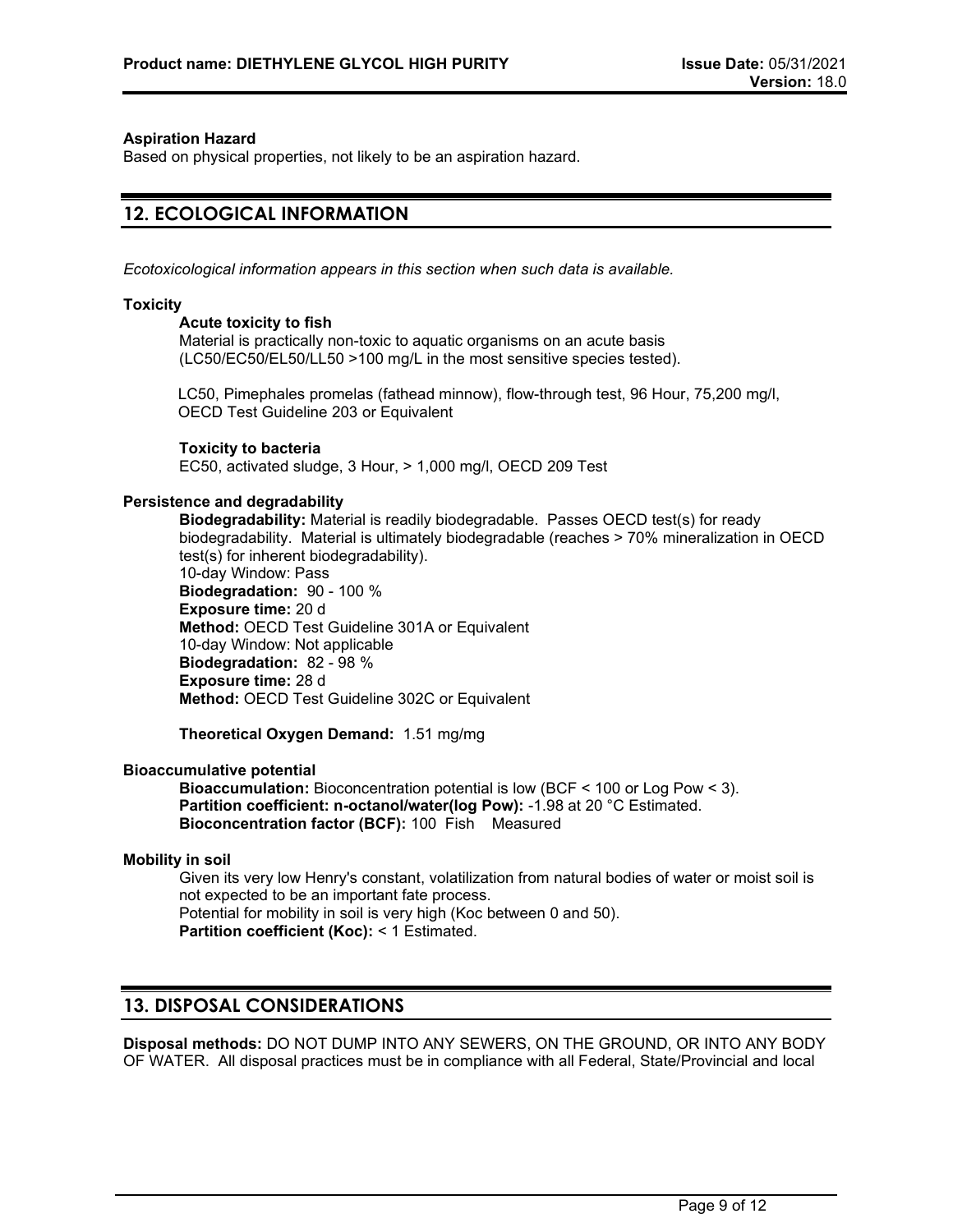#### **Aspiration Hazard**

Based on physical properties, not likely to be an aspiration hazard.

# **12. ECOLOGICAL INFORMATION**

*Ecotoxicological information appears in this section when such data is available.*

#### **Toxicity**

#### **Acute toxicity to fish**

Material is practically non-toxic to aquatic organisms on an acute basis (LC50/EC50/EL50/LL50 >100 mg/L in the most sensitive species tested).

LC50, Pimephales promelas (fathead minnow), flow-through test, 96 Hour, 75,200 mg/l, OECD Test Guideline 203 or Equivalent

### **Toxicity to bacteria**

EC50, activated sludge, 3 Hour, > 1,000 mg/l, OECD 209 Test

#### **Persistence and degradability**

**Biodegradability:** Material is readily biodegradable. Passes OECD test(s) for ready biodegradability. Material is ultimately biodegradable (reaches > 70% mineralization in OECD test(s) for inherent biodegradability). 10-day Window: Pass **Biodegradation:** 90 - 100 % **Exposure time:** 20 d **Method:** OECD Test Guideline 301A or Equivalent 10-day Window: Not applicable **Biodegradation:** 82 - 98 % **Exposure time:** 28 d **Method:** OECD Test Guideline 302C or Equivalent

**Theoretical Oxygen Demand:** 1.51 mg/mg

#### **Bioaccumulative potential**

**Bioaccumulation:** Bioconcentration potential is low (BCF < 100 or Log Pow < 3). **Partition coefficient: n-octanol/water(log Pow):** -1.98 at 20 °C Estimated. **Bioconcentration factor (BCF):** 100 Fish Measured

#### **Mobility in soil**

Given its very low Henry's constant, volatilization from natural bodies of water or moist soil is not expected to be an important fate process. Potential for mobility in soil is very high (Koc between 0 and 50). **Partition coefficient (Koc):** < 1 Estimated.

# **13. DISPOSAL CONSIDERATIONS**

**Disposal methods:** DO NOT DUMP INTO ANY SEWERS, ON THE GROUND, OR INTO ANY BODY OF WATER. All disposal practices must be in compliance with all Federal, State/Provincial and local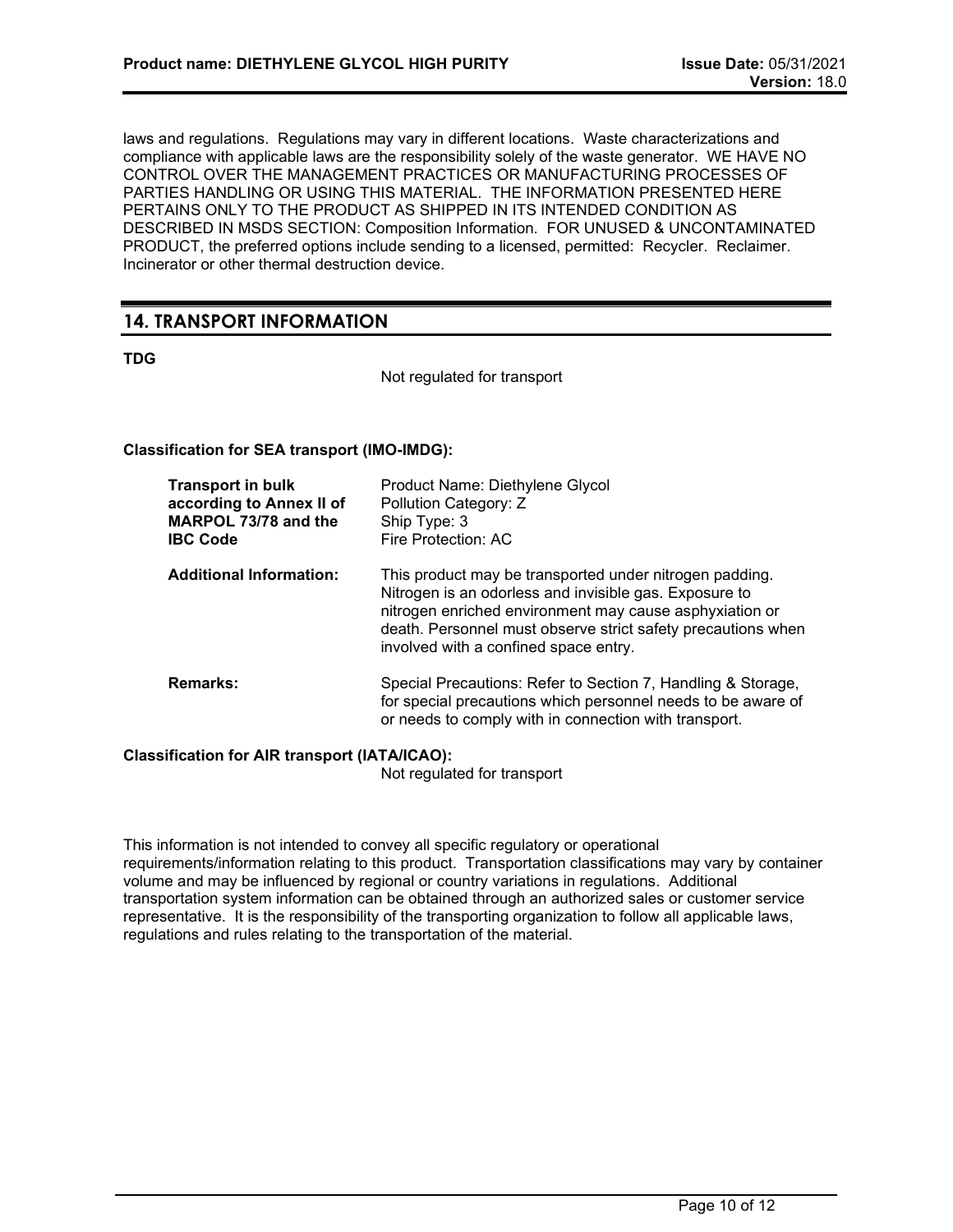laws and regulations. Regulations may vary in different locations. Waste characterizations and compliance with applicable laws are the responsibility solely of the waste generator. WE HAVE NO CONTROL OVER THE MANAGEMENT PRACTICES OR MANUFACTURING PROCESSES OF PARTIES HANDLING OR USING THIS MATERIAL. THE INFORMATION PRESENTED HERE PERTAINS ONLY TO THE PRODUCT AS SHIPPED IN ITS INTENDED CONDITION AS DESCRIBED IN MSDS SECTION: Composition Information. FOR UNUSED & UNCONTAMINATED PRODUCT, the preferred options include sending to a licensed, permitted: Recycler. Reclaimer. Incinerator or other thermal destruction device.

# **14. TRANSPORT INFORMATION**

### **TDG**

Not regulated for transport

### **Classification for SEA transport (IMO-IMDG):**

| <b>Transport in bulk</b><br>according to Annex II of<br>MARPOL 73/78 and the<br><b>IBC Code</b> | Product Name: Diethylene Glycol<br>Pollution Category: Z<br>Ship Type: 3<br>Fire Protection: AC                                                                                                                                                                                       |
|-------------------------------------------------------------------------------------------------|---------------------------------------------------------------------------------------------------------------------------------------------------------------------------------------------------------------------------------------------------------------------------------------|
| <b>Additional Information:</b>                                                                  | This product may be transported under nitrogen padding.<br>Nitrogen is an odorless and invisible gas. Exposure to<br>nitrogen enriched environment may cause asphyxiation or<br>death. Personnel must observe strict safety precautions when<br>involved with a confined space entry. |
| <b>Remarks:</b>                                                                                 | Special Precautions: Refer to Section 7, Handling & Storage,<br>for special precautions which personnel needs to be aware of<br>or needs to comply with in connection with transport.                                                                                                 |

### **Classification for AIR transport (IATA/ICAO):**

Not regulated for transport

This information is not intended to convey all specific regulatory or operational requirements/information relating to this product. Transportation classifications may vary by container volume and may be influenced by regional or country variations in regulations. Additional transportation system information can be obtained through an authorized sales or customer service representative. It is the responsibility of the transporting organization to follow all applicable laws, regulations and rules relating to the transportation of the material.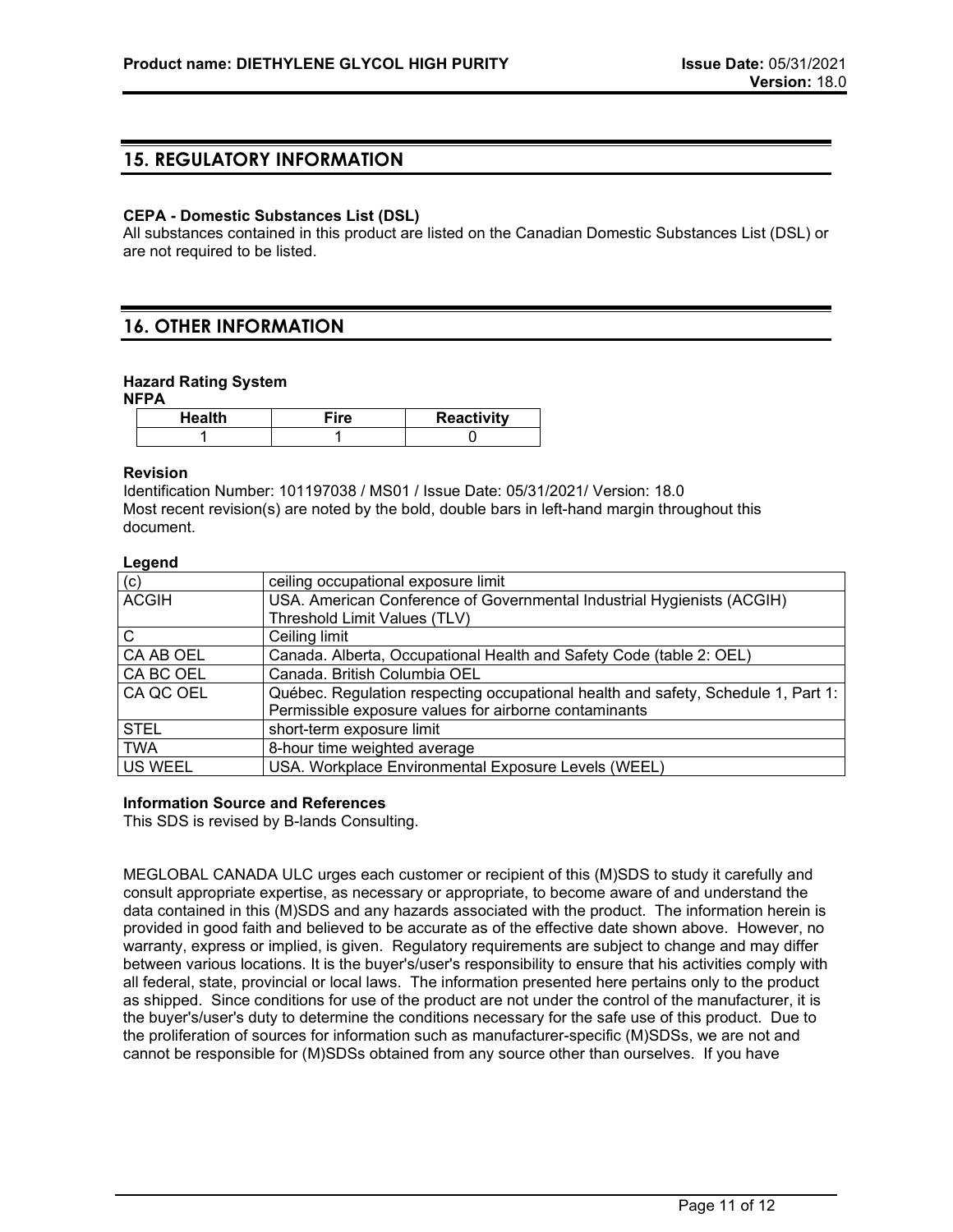# **15. REGULATORY INFORMATION**

#### **CEPA - Domestic Substances List (DSL)**

All substances contained in this product are listed on the Canadian Domestic Substances List (DSL) or are not required to be listed.

# **16. OTHER INFORMATION**

#### **Hazard Rating System**

**NFPA**

| Health | ™ire | <b>Reactivity</b> |
|--------|------|-------------------|
|        |      |                   |

#### **Revision**

Identification Number: 101197038 / MS01 / Issue Date: 05/31/2021/ Version: 18.0 Most recent revision(s) are noted by the bold, double bars in left-hand margin throughout this document.

#### **Legend**

| $-99 - 6$    |                                                                                   |
|--------------|-----------------------------------------------------------------------------------|
| (c)          | ceiling occupational exposure limit                                               |
| <b>ACGIH</b> | USA. American Conference of Governmental Industrial Hygienists (ACGIH)            |
|              | Threshold Limit Values (TLV)                                                      |
| $\mathsf{C}$ | Ceiling limit                                                                     |
| CA AB OEL    | Canada. Alberta, Occupational Health and Safety Code (table 2: OEL)               |
| CA BC OEL    | Canada. British Columbia OEL                                                      |
| CA QC OEL    | Québec. Regulation respecting occupational health and safety, Schedule 1, Part 1: |
|              | Permissible exposure values for airborne contaminants                             |
| <b>STEL</b>  | short-term exposure limit                                                         |
| <b>TWA</b>   | 8-hour time weighted average                                                      |
| US WEEL      | USA. Workplace Environmental Exposure Levels (WEEL)                               |

#### **Information Source and References**

This SDS is revised by B-lands Consulting.

MEGLOBAL CANADA ULC urges each customer or recipient of this (M)SDS to study it carefully and consult appropriate expertise, as necessary or appropriate, to become aware of and understand the data contained in this (M)SDS and any hazards associated with the product. The information herein is provided in good faith and believed to be accurate as of the effective date shown above. However, no warranty, express or implied, is given. Regulatory requirements are subject to change and may differ between various locations. It is the buyer's/user's responsibility to ensure that his activities comply with all federal, state, provincial or local laws. The information presented here pertains only to the product as shipped. Since conditions for use of the product are not under the control of the manufacturer, it is the buyer's/user's duty to determine the conditions necessary for the safe use of this product. Due to the proliferation of sources for information such as manufacturer-specific (M)SDSs, we are not and cannot be responsible for (M)SDSs obtained from any source other than ourselves. If you have